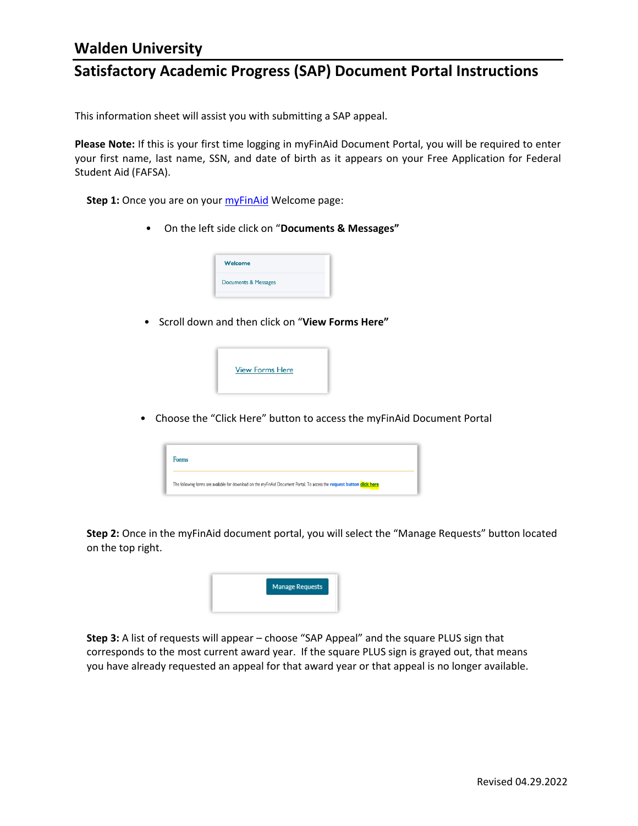### **Satisfactory Academic Progress (SAP) Document Portal Instructions**

This information sheet will assist you with submitting a SAP appeal.

**Please Note:** If this is your first time logging in myFinAid Document Portal, you will be required to enter your first name, last name, SSN, and date of birth as it appears on your Free Application for Federal Student Aid (FAFSA).

**Step 1:** Once you are on your **myFinAid** Welcome page:

• On the left side click on "**Documents & Messages"**



• Scroll down and then click on "**View Forms Here"**



• Choose the "Click Here" button to access the myFinAid Document Portal

| Forms                                                                                                                    |  |
|--------------------------------------------------------------------------------------------------------------------------|--|
| The following forms are available for download on the myFinAid Document Portal. To access the request button click here. |  |

**Step 2:** Once in the myFinAid document portal, you will select the "Manage Requests" button located on the top right.



**Step 3:** A list of requests will appear – choose "SAP Appeal" and the square PLUS sign that corresponds to the most current award year. If the square PLUS sign is grayed out, that means you have already requested an appeal for that award year or that appeal is no longer available.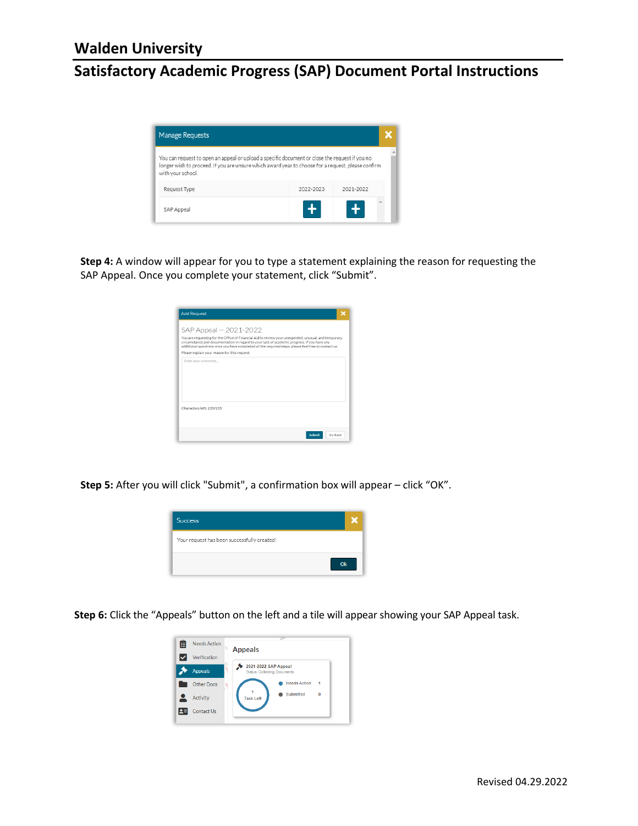## **Satisfactory Academic Progress (SAP) Document Portal Instructions**

| <b>Manage Requests</b>                                                                                                                                                                                                    |           |           |  |  |
|---------------------------------------------------------------------------------------------------------------------------------------------------------------------------------------------------------------------------|-----------|-----------|--|--|
| You can request to open an appeal or upload a specific document or close the request if you no<br>longer wish to proceed. If you are unsure which award year to choose for a request, please confirm<br>with your school. |           |           |  |  |
| Request Type                                                                                                                                                                                                              | 2022-2023 | 2021-2022 |  |  |
| SAP Appeal                                                                                                                                                                                                                |           |           |  |  |

**Step 4:** A window will appear for you to type a statement explaining the reason for requesting the SAP Appeal. Once you complete your statement, click "Submit".

| <b>Add Request</b>                           |                                                                                                                                                                                                                                                                                                             |
|----------------------------------------------|-------------------------------------------------------------------------------------------------------------------------------------------------------------------------------------------------------------------------------------------------------------------------------------------------------------|
| SAP Appeal -- 2021-2022                      |                                                                                                                                                                                                                                                                                                             |
|                                              | You are requesting for the Office of Financial Aid to review your unexpected, unusual, and temporary<br>circumstance and documentation in regard to your lack of academic progress. If you have any<br>additional questions once you have completed all the required steps, please feel free to contact us. |
| Please explain your reason for this request. |                                                                                                                                                                                                                                                                                                             |
|                                              |                                                                                                                                                                                                                                                                                                             |
| Characters left: 255/255                     |                                                                                                                                                                                                                                                                                                             |
|                                              | Go Back<br>Submit                                                                                                                                                                                                                                                                                           |

**Step 5:** After you will click "Submit", a confirmation box will appear – click "OK".



**Step 6:** Click the "Appeals" button on the left and a tile will appear showing your SAP Appeal task.

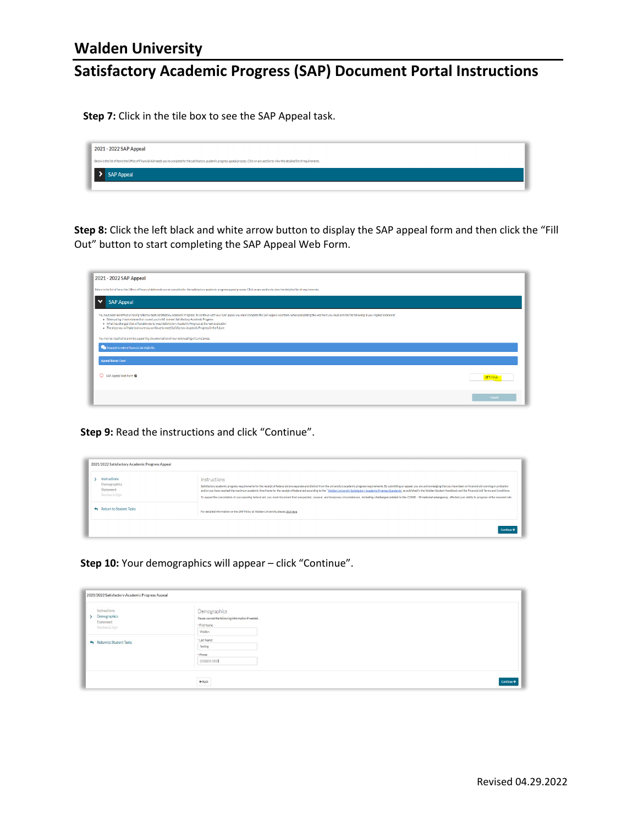## **Satisfactory Academic Progress (SAP) Document Portal Instructions**

**Step 7:** Click in the tile box to see the SAP Appeal task.

| 2021 - 2022 SAP Appeal                                                                                                                                                                              |  |
|-----------------------------------------------------------------------------------------------------------------------------------------------------------------------------------------------------|--|
| Below is the list of items the Office of Financial Aid needs you to complete for the satisfactory academic progress appeal process. Click on any section to view the detailed list of requirements. |  |
| > SAP Appeal                                                                                                                                                                                        |  |
|                                                                                                                                                                                                     |  |

**Step 8:** Click the left black and white arrow button to display the SAP appeal form and then click the "Fill Out" button to start completing the SAP Appeal Web Form.

| 2021 - 2022 SAP Appeal                                                                                                                                                                                                                                                                                                                                                                                                                                                                                                                         |                  |  |
|------------------------------------------------------------------------------------------------------------------------------------------------------------------------------------------------------------------------------------------------------------------------------------------------------------------------------------------------------------------------------------------------------------------------------------------------------------------------------------------------------------------------------------------------|------------------|--|
| Below is the list of items the Office of Financial Aid needs you to complete for the satisfactory academic progress appeal process. Click on any section to view the detailed list of requirements.                                                                                                                                                                                                                                                                                                                                            |                  |  |
| <b>SAP Appeal</b>                                                                                                                                                                                                                                                                                                                                                                                                                                                                                                                              |                  |  |
| You have been identified as having falled to meet Satisfactory Academic Progress. To continue with your SAP appeal you must complete the SAP Appeal web form. When completing the web form you must provide the following in y<br>. Extenuating circumstances that caused you to fall to meet Satisfactory Academic Progress<br>. What has changed that will enable you to meet Satisfactory Academic Progress at the next evaluation<br>. The steps you will take to ensure you continue to meet Satisfactory Academic Progress in the future |                  |  |
| You may be required to provide supporting documentation of your extenuating circumstances.                                                                                                                                                                                                                                                                                                                                                                                                                                                     |                  |  |
| Request to extend financial aid eligibility.                                                                                                                                                                                                                                                                                                                                                                                                                                                                                                   |                  |  |
| <b>Appeal Status: Open</b>                                                                                                                                                                                                                                                                                                                                                                                                                                                                                                                     |                  |  |
| SAP Appeal Web Form @                                                                                                                                                                                                                                                                                                                                                                                                                                                                                                                          | <b>DIFIL Out</b> |  |
|                                                                                                                                                                                                                                                                                                                                                                                                                                                                                                                                                | Submit           |  |

**Step 9:** Read the instructions and click "Continue".

| 2021/2022 Satisfactory Academic Progress Appeal            |                                                                                                                                                                                                                                                                                                                                                                                                                                                                                                                                                                                                                                                                                                                    |
|------------------------------------------------------------|--------------------------------------------------------------------------------------------------------------------------------------------------------------------------------------------------------------------------------------------------------------------------------------------------------------------------------------------------------------------------------------------------------------------------------------------------------------------------------------------------------------------------------------------------------------------------------------------------------------------------------------------------------------------------------------------------------------------|
| Instructions<br>Demographics<br>Statement<br>Review & Sign | Instructions<br>Satisfactory academic progress requirements for the receipt of federal aid are separate and distinct from the university's academic progress requirements. By submitting an appeal, you are acknowledging that you have been o<br>and/or you have reached the maximum academic time frame for the receipt of federal aid according to the "Walden University Satisfactory Academic Progress Standards" as published in the Walden Student Handbook and the Finan<br>To appeal the cancellation of your pending federal aid, you must document that unexpected, unusual, and temporary circumstances, including challenges related to the COVID - 19 national emergency, affected your ability to p |
| Return to Student Tasks                                    | For detailed information on the SAP Policy at Walden University please click here.                                                                                                                                                                                                                                                                                                                                                                                                                                                                                                                                                                                                                                 |
|                                                            |                                                                                                                                                                                                                                                                                                                                                                                                                                                                                                                                                                                                                                                                                                                    |

**Step 10:** Your demographics will appear – click "Continue".

| 2021/2022 Satisfactory Academic Progress Appeal                                    |                                                                                                |            |
|------------------------------------------------------------------------------------|------------------------------------------------------------------------------------------------|------------|
| <b>SOUTHERN IN</b><br>Instructions<br>> Demographics<br>Statement<br>Review & Sign | Demographics<br>Please correct the following information if needed.<br>- First Name:<br>Walden |            |
| Return to Student Tasks                                                            | *Last Name:<br>Testing<br>· Phone:<br>(555)555-5555                                            |            |
|                                                                                    | $+$ Back                                                                                       | Continue > |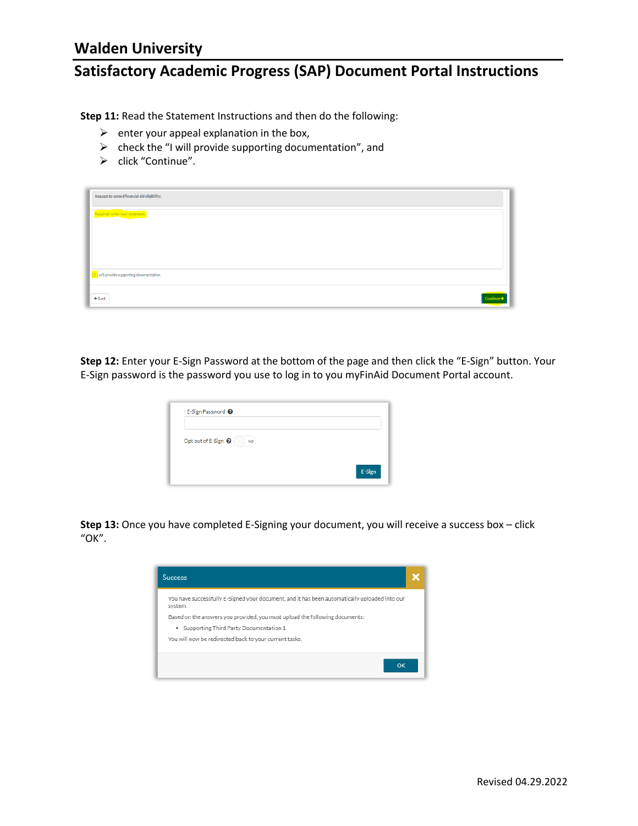## **Satisfactory Academic Progress (SAP) Document Portal Instructions**

**Step 11:** Read the Statement Instructions and then do the following:

- $\triangleright$  enter your appeal explanation in the box,
- $\triangleright$  check the "I will provide supporting documentation", and
- > click "Continue".

| Request to extend financial aid eligibility.          |  |
|-------------------------------------------------------|--|
| Required: enter your statement                        |  |
|                                                       |  |
|                                                       |  |
| $\boxed{\Box}$ will provide supporting documentation. |  |
|                                                       |  |
| $\leftarrow$ Back<br>Continue-                        |  |

**Step 12:** Enter your E-Sign Password at the bottom of the page and then click the "E-Sign" button. Your E-Sign password is the password you use to log in to you myFinAid Document Portal account.

| * E-Sign Password @              |        |
|----------------------------------|--------|
| Opt out of E-Sign @<br><b>NO</b> |        |
|                                  | E-Sign |

**Step 13:** Once you have completed E-Signing your document, you will receive a success box – click "OK".

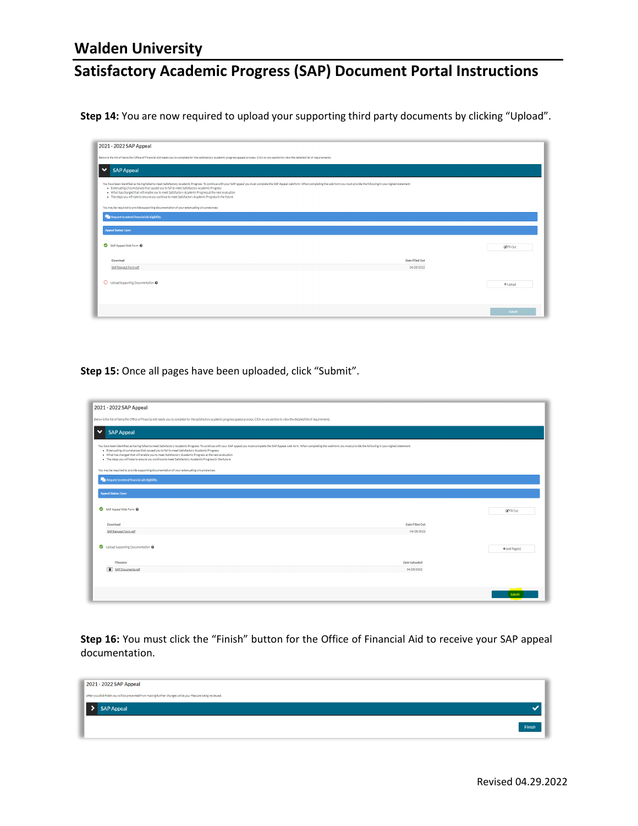# **Satisfactory Academic Progress (SAP) Document Portal Instructions**

**Step 14:** You are now required to upload your supporting third party documents by clicking "Upload".

| 2021 - 2022 SAP Appeal                                                                                                                                                                                                                                                                                                                                                                                                                                                                                                                         |                 |                              |  |
|------------------------------------------------------------------------------------------------------------------------------------------------------------------------------------------------------------------------------------------------------------------------------------------------------------------------------------------------------------------------------------------------------------------------------------------------------------------------------------------------------------------------------------------------|-----------------|------------------------------|--|
|                                                                                                                                                                                                                                                                                                                                                                                                                                                                                                                                                |                 |                              |  |
| Below is the list of items the Office of Financial Aid needs you to complete for the satisfactory academic progress appeal process. Click on any section to view the detailed list of requirements.                                                                                                                                                                                                                                                                                                                                            |                 |                              |  |
| <b>SAP Appeal</b><br>$\checkmark$                                                                                                                                                                                                                                                                                                                                                                                                                                                                                                              |                 |                              |  |
| You have been identified as having failed to meet Satisfactory Academic Progress. To continue with your SAP appeal you must complete the SAP Appeal web form. When completing the web form you must provide the following in y<br>. Extenuating circumstances that caused you to fail to meet Satisfactory Academic Progress<br>. What has changed that will enable you to meet Satisfactory Academic Progress at the next evaluation<br>. The steps you will take to ensure you continue to meet Satisfactory Academic Progress in the future |                 |                              |  |
| You may be required to provide supporting documentation of your extenuating circumstances.                                                                                                                                                                                                                                                                                                                                                                                                                                                     |                 |                              |  |
| Request to extend financial aid eligibility.                                                                                                                                                                                                                                                                                                                                                                                                                                                                                                   |                 |                              |  |
| <b>Appeal Status: Open</b>                                                                                                                                                                                                                                                                                                                                                                                                                                                                                                                     |                 |                              |  |
| SAP Appeal Web Form @                                                                                                                                                                                                                                                                                                                                                                                                                                                                                                                          |                 | <b>D</b> <sup>Fill</sup> Out |  |
| Download                                                                                                                                                                                                                                                                                                                                                                                                                                                                                                                                       | Date Filled Out |                              |  |
| SAP Request Form odf                                                                                                                                                                                                                                                                                                                                                                                                                                                                                                                           | 04/28/2022      |                              |  |
| O Upload Supporting Documentation @                                                                                                                                                                                                                                                                                                                                                                                                                                                                                                            |                 |                              |  |
|                                                                                                                                                                                                                                                                                                                                                                                                                                                                                                                                                |                 | ↑ Upload                     |  |
|                                                                                                                                                                                                                                                                                                                                                                                                                                                                                                                                                |                 |                              |  |
|                                                                                                                                                                                                                                                                                                                                                                                                                                                                                                                                                |                 | Submit                       |  |
|                                                                                                                                                                                                                                                                                                                                                                                                                                                                                                                                                |                 |                              |  |

**Step 15:** Once all pages have been uploaded, click "Submit".

| 2021 - 2022 SAP Appeal                                                                                                                                                                                                                                                                                                                                                                                                                                                                                                                         |                 |                   |
|------------------------------------------------------------------------------------------------------------------------------------------------------------------------------------------------------------------------------------------------------------------------------------------------------------------------------------------------------------------------------------------------------------------------------------------------------------------------------------------------------------------------------------------------|-----------------|-------------------|
| Below is the list of items the Office of Financial Aid needs you to complete for the satisfactory academic progress appeal process. Click on any section to view the detailed list of requirements.                                                                                                                                                                                                                                                                                                                                            |                 |                   |
| <b>SAP Appeal</b><br>$\checkmark$                                                                                                                                                                                                                                                                                                                                                                                                                                                                                                              |                 |                   |
| You have been identified as having failed to meet Satisfactory Academic Progress. To continue with your SAP appeal you must complete the SAP Appeal web form. When completing the web form you must provide the following in y<br>. Extenuating circumstances that caused you to fail to meet Satisfactory Academic Progress<br>. What has changed that will enable you to meet Satisfactory Academic Progress at the next evaluation<br>. The steps you will take to ensure you continue to meet Satisfactory Academic Progress in the future |                 |                   |
| You may be required to provide supporting documentation of your extenuating circumstances.                                                                                                                                                                                                                                                                                                                                                                                                                                                     |                 |                   |
| Request to extend financial aid eligibility.                                                                                                                                                                                                                                                                                                                                                                                                                                                                                                   |                 |                   |
| <b>Appeal Status: Open</b><br>SAP Appeal Web Form @                                                                                                                                                                                                                                                                                                                                                                                                                                                                                            |                 | <b>E</b> Fill Out |
| Download                                                                                                                                                                                                                                                                                                                                                                                                                                                                                                                                       | Date Filled Out |                   |
| SAP Request Form.pdf                                                                                                                                                                                                                                                                                                                                                                                                                                                                                                                           | 04/28/2022      |                   |
| Upload Supporting Documentation @                                                                                                                                                                                                                                                                                                                                                                                                                                                                                                              |                 | + Add Page(s)     |
| Filename                                                                                                                                                                                                                                                                                                                                                                                                                                                                                                                                       | Date Uploaded   |                   |
| SAP Documents.pdf                                                                                                                                                                                                                                                                                                                                                                                                                                                                                                                              | 04/28/2022      |                   |
|                                                                                                                                                                                                                                                                                                                                                                                                                                                                                                                                                |                 |                   |
|                                                                                                                                                                                                                                                                                                                                                                                                                                                                                                                                                |                 | Submit            |

**Step 16:** You must click the "Finish" button for the Office of Financial Aid to receive your SAP appeal documentation.

| 2021 - 2022 SAP Appeal                                                                                        |        |
|---------------------------------------------------------------------------------------------------------------|--------|
| After you click finish you will be prevented from making further changes while your files are being reviewed. |        |
| > SAP Appeal                                                                                                  |        |
|                                                                                                               | Finish |